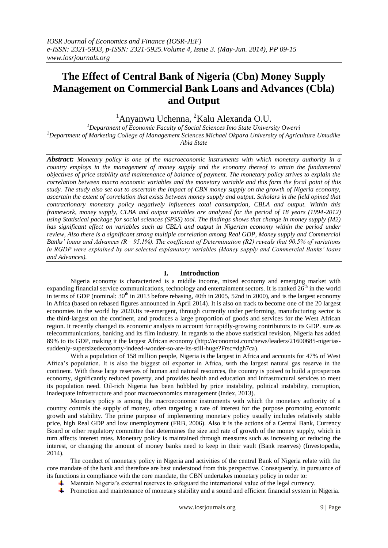# **The Effect of Central Bank of Nigeria (Cbn) Money Supply Management on Commercial Bank Loans and Advances (Cbla) and Output**

 $1$ Anyanwu Uchenna,  $2$ Kalu Alexanda O.U.

*<sup>1</sup>Department of Economic Faculty of Social Sciences Imo State University Owerri <sup>2</sup>Department of Marketing College of Management Sciences Michael Okpara University of Agriculture Umudike Abia State*

*Abstract: Monetary policy is one of the macroeconomic instruments with which monetary authority in a country employs in the management of money supply and the economy thereof to attain the fundamental objectives of price stability and maintenance of balance of payment. The monetary policy strives to explain the correlation between macro economic variables and the monetary variable and this form the focal point of this study. The study also set out to ascertain the impact of CBN money supply on the growth of Nigeria economy, ascertain the extent of correlation that exists between money supply and output. Scholars in the field opined that contractionary monetary policy negatively influences total consumption, CBLA and output. Within this framework, money supply, CLBA and output variables are analyzed for the period of 18 years (1994-2012) using Statistical package for social sciences (SPSS) tool. The findings shows that change in money supply (M2) has significant effect on variables such as CBLA and output in Nigerian economy within the period under review, Also there is a significant strong multiple correlation among Real GDP, Money supply and Commercial Banks' loans and Advances (R= 95.1%). The coefficient of Determination (R2) reveals that 90.5% of variations in RGDP were explained by our selected explanatory variables (Money supply and Commercial Banks' loans and Advances).* 

# **I. Introduction**

Nigeria economy is characterized is a middle income, mixed economy and emerging market with expanding financial service communications, technology and entertainment sectors. It is ranked  $26<sup>th</sup>$  in the world in terms of GDP (nominal:  $30<sup>th</sup>$  in 2013 before rebasing, 40th in 2005, 52nd in 2000), and is the largest economy in Africa (based on rebased figures announced in April 2014). It is also on track to become one of the 20 largest economies in the world by 2020.Its re-emergent, through currently under performing, manufacturing sector is the third-largest on the continent, and produces a large proportion of goods and services for the West African region. It recently changed its economic analysis to account for rapidly-growing contributors to its GDP. sure as telecommunications, banking and its film industry. In regards to the above statistical revision, Nigeria has added 89% to its GDP, making it the largest African economy (http://economist.com/news/leaders/21600685-nigeriassuddenly-supersizedeconomy-indeed-wonder-so-are-its-still-huge?Frsc=dgh7ca).

With a population of 158 million people, Nigeria is the largest in Africa and accounts for 47% of West Africa's population. It is also the biggest oil exporter in Africa, with the largest natural gas reserve in the continent. With these large reserves of human and natural resources, the country is poised to build a prosperous economy, significantly reduced poverty, and provides health and education and infrastructural services to meet its population need. Oil-rich Nigeria has been hobbled by price instability, political instability, corruption, inadequate infrastructure and poor macroeconomics management (index, 2013).

Monetary policy is among the macroeconomic instruments with which the monetary authority of a country controls the supply of money, often targeting a rate of interest for the purpose promoting economic growth and stability. The prime purpose of implementing monetary policy usually includes relatively stable price, high Real GDP and low unemployment (FRB, 2006). Also it is the actions of a Central Bank, Currency Board or other regulatory committee that determines the size and rate of growth of the money supply, which in turn affects interest rates. Monetary policy is maintained through measures such as increasing or reducing the interest, or changing the amount of money banks need to keep in their vault (Bank reserves) (Investopedia, 2014).

The conduct of monetary policy in Nigeria and activities of the central Bank of Nigeria relate with the core mandate of the bank and therefore are best understood from this perspective. Consequently, in pursuance of its functions in compliance with the core mandate, the CBN undertakes monetary policy in order to:

- $\blacktriangle$  Maintain Nigeria's external reserves to safeguard the international value of the legal currency.
- Promotion and maintenance of monetary stability and a sound and efficient financial system in Nigeria.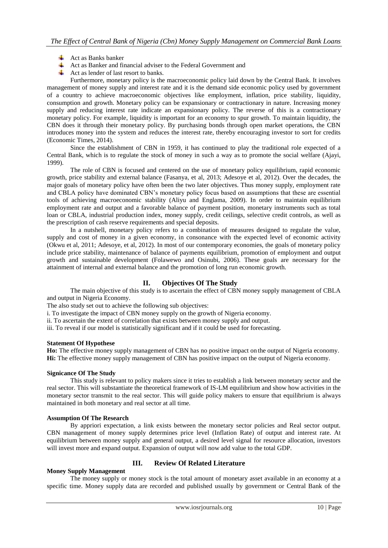- $\overline{\text{+}}$  Act as Banks banker
- Act as Banker and financial adviser to the Federal Government and
- 4. Act as lender of last resort to banks.

Furthermore, monetary policy is the macroeconomic policy laid down by the Central Bank. It involves management of money supply and interest rate and it is the demand side economic policy used by government of a country to achieve macroeconomic objectives like employment, inflation, price stability, liquidity, consumption and growth. Monetary policy can be expansionary or contractionary in nature. Increasing money supply and reducing interest rate indicate an expansionary policy. The reverse of this is a contractionary monetary policy. For example, liquidity is important for an economy to spur growth. To maintain liquidity, the CBN does it through their monetary policy. By purchasing bonds through open market operations, the CBN introduces money into the system and reduces the interest rate, thereby encouraging investor to sort for credits (Economic Times, 2014).

Since the establishment of CBN in 1959, it has continued to play the traditional role expected of a Central Bank, which is to regulate the stock of money in such a way as to promote the social welfare (Ajayi, 1999).

The role of CBN is focused and centered on the use of monetary policy equilibrium, rapid economic growth, price stability and external balance (Fasanya, et al, 2013; Adesoye et al, 2012). Over the decades, the major goals of monetary policy have often been the two later objectives. Thus money supply, employment rate and CBLA policy have dominated CBN's monetary policy focus based on assumptions that these are essential tools of achieving macroeconomic stability (Aliyu and Englama, 2009). In order to maintain equilibrium employment rate and output and a favorable balance of payment position, monetary instruments such as total loan or CBLA, industrial production index, money supply, credit ceilings, selective credit controls, as well as the prescription of cash reserve requirements and special deposits.

In a nutshell, monetary policy refers to a combination of measures designed to regulate the value, supply and cost of money in a given economy, in consonance with the expected level of economic activity (Okwu et al, 2011; Adesoye, et al, 2012). In most of our contemporary economies, the goals of monetary policy include price stability, maintenance of balance of payments equilibrium, promotion of employment and output growth and sustainable development (Folawewo and Osinubi, 2006). These goals are necessary for the attainment of internal and external balance and the promotion of long run economic growth.

## **II. Objectives Of The Study**

The main objective of this study is to ascertain the effect of CBN money supply management of CBLA and output in Nigeria Economy.

The also study set out to achieve the following sub objectives:

i. To investigate the impact of CBN money supply on the growth of Nigeria economy.

ii. To ascertain the extent of correlation that exists between money supply and output.

iii. To reveal if our model is statistically significant and if it could be used for forecasting.

#### **Statement Of Hypothese**

**Ho:** The effective money supply management of CBN has no positive impact on the output of Nigeria economy. **Hi:** The effective money supply management of CBN has positive impact on the output of Nigeria economy.

### **Signicance Of The Study**

This study is relevant to policy makers since it tries to establish a link between monetary sector and the real sector. This will substantiate the theoretical framework of IS-LM equilibrium and show how activities in the monetary sector transmit to the real sector. This will guide policy makers to ensure that equilibrium is always maintained in both monetary and real sector at all time.

## **Assumption Of The Research**

By appriori expectation, a link exists between the monetary sector policies and Real sector output. CBN management of money supply determines price level (Inflation Rate) of output and interest rate. At equilibrium between money supply and general output, a desired level signal for resource allocation, investors will invest more and expand output. Expansion of output will now add value to the total GDP.

## **Money Supply Management**

### **III. Review Of Related Literature**

The money supply or money stock is the total amount of monetary asset available in an economy at a specific time. Money supply data are recorded and published usually by government or Central Bank of the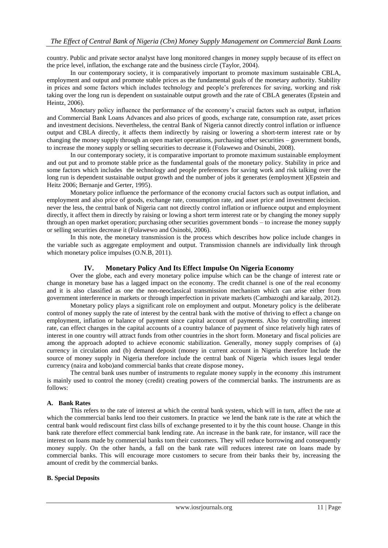country. Public and private sector analyst have long monitored changes in money supply because of its effect on the price level, inflation, the exchange rate and the business circle (Taylor, 2004).

In our contemporary society, it is comparatively important to promote maximum sustainable CBLA, employment and output and promote stable prices as the fundamental goals of the monetary authority. Stability in prices and some factors which includes technology and people's preferences for saving, working and risk taking over the long run is dependent on sustainable output growth and the rate of CBLA generates (Epstein and Heintz, 2006).

Monetary policy influence the performance of the economy's crucial factors such as output, inflation and Commercial Bank Loans Advances and also prices of goods, exchange rate, consumption rate, asset prices and investment decisions. Nevertheless, the central Bank of Nigeria cannot directly control inflation or influence output and CBLA directly, it affects them indirectly by raising or lowering a short-term interest rate or by changing the money supply through an open market operations, purchasing other securities – government bonds, to increase the money supply or selling securities to decrease it (Folawewo and Osinubi, 2008).

In our contemporary society, it is comparative important to promote maximum sustainable employment and out put and to promote stable price as the fundamental goals of the monetary policy. Stability in price and some factors which includes the technology and people preferences for saving work and risk talking over the long run is dependent sustainable output growth and the number of jobs it generates (employment )(Epstein and Heitz 2006; Bernanje and Gerter, 1995).

Monetary police influence the performance of the economy crucial factors such as output inflation, and employment and also price of goods, exchange rate, consumption rate, and asset price and investment decision. never the less, the central bank of Nigeria cant not directly control inflation or influence output and employment directly, it affect them in directly by raising or lowing a short term interest rate or by changing the money supply through an open market operation; purchasing other securities government bonds – to increase the money supply or selling securities decrease it (Folawewo and Osinobi, 2006).

In this note, the monetary transmission is the process which describes how police include changes in the variable such as aggregate employment and output. Transmission channels are individually link through which monetary police impulses (O.N.B, 2011).

## **IV. Monetary Policy And Its Effect Impulse On Nigeria Economy**

Over the globe, each and every monetary police impulse which can be the change of interest rate or change in monetary base has a lagged impact on the economy. The credit channel is one of the real economy and it is also classified as one the non-neoclassical transmission mechanism which can arise either from government interference in markets or through imperfection in private markets (Cambazoghi and karaalp, 2012).

Monetary policy plays a significant role on employment and output. Monetary policy is the deliberate control of money supply the rate of interest by the central bank with the motive of thriving to effect a change on employment, inflation or balance of payment since capital account of payments. Also by controlling interest rate, can effect changes in the capital accounts of a country balance of payment of since relatively high rates of interest in one country will attract funds from other countries in the short form. Monetary and fiscal policies are among the approach adopted to achieve economic stabilization. Generally, money supply comprises of (a) currency in circulation and (b) demand deposit (money in current account in Nigeria therefore Include the source of money supply in Nigeria therefore include the central bank of Nigeria which issues legal tender currency (naira and kobo)and commercial banks that create dispose money**.**

The central bank uses number of instruments to regulate money supply in the economy .this instrument is mainly used to control the money (credit) creating powers of the commercial banks. The instruments are as follows:

## **A. Bank Rates**

This refers to the rate of interest at which the central bank system, which will in turn, affect the rate at which the commercial banks lend too their customers. In practice we lend the bank rate is the rate at which the central bank would rediscount first class bills of exchange presented to it by the this count house. Change in this bank rate therefore effect commercial bank lending rate. An increase in the bank rate, for instance, will race the interest on loans made by commercial banks tom their customers. They will reduce borrowing and consequently money supply. On the other hands, a fall on the bank rate will reduces interest rate on loans made by commercial banks. This will encourage more customers to secure from their banks their by, increasing the amount of credit by the commercial banks.

#### **B. Special Deposits**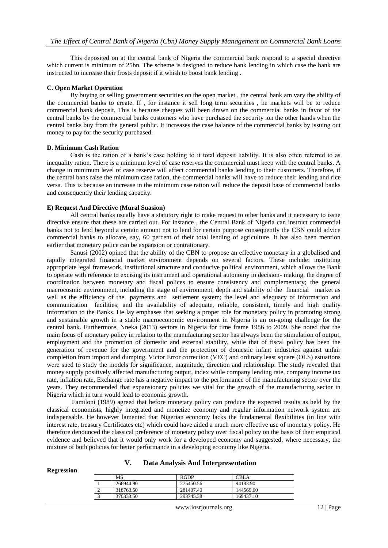This deposited on at the central bank of Nigeria the commercial bank respond to a special directive which current is minimum of 25bn. The scheme is designed to reduce bank lending in which case the bank are instructed to increase their frosts deposit if it whish to boost bank lending .

#### **C. Open Market Operation**

By buying or selling government securities on the open market , the central bank am vary the ability of the commercial banks to create. If , for instance it sell long term securities , he markets will be to reduce commercial bank deposit. This is because cheques will been drawn on the commercial banks in favor of the central banks by the commercial banks customers who have purchased the security .on the other hands when the central banks buy from the general public. It increases the case balance of the commercial banks by issuing out money to pay for the security purchased.

#### **D. Minimum Cash Ration**

Cash is the ration of a bank's case holding to it total deposit liability. It is also often referred to as inequality ration. There is a minimum level of case reserves the commercial must keep with the central banks. A change in minimum level of case reserve will affect commercial banks lending to their customers. Therefore, if the central bans raise the minimum case ration, the commercial banks will have to reduce their lending and rice versa. This is because an increase in the minimum case ration will reduce the deposit base of commercial banks and consequently their lending capacity.

#### **E) Request And Directive (Mural Suasion)**

All central banks usually have a statutory right to make request to other banks and it necessary to issue directive ensure that these are carried out. For instance , the Central Bank of Nigeria can instruct commercial banks not to lend beyond a certain amount not to lend for certain purpose consequently the CBN could advice commercial banks to allocate, say, 60 percent of their total lending of agriculture. It has also been mention earlier that monetary police can be expansion or contrationary.

Sanusi (2002) opined that the ability of the CBN to propose an effective monetary in a globalised and rapidly integrated financial market environment depends on several factors. These include: instituting appropriate legal framework, institutional structure and conducive political environment, which allows the Bank to operate with reference to excising its instrument and operational autonomy in decision- making, the degree of coordination between monetary and fiscal polices to ensure consistency and complementary; the general macrocosmic environment, including the stage of environment, depth and stability of the financial market as well as the efficiency of the payments and settlement system; the level and adequacy of information and communication facilities; and the availability of adequate, reliable, consistent, timely and high quality information to the Banks. He lay emphases that seeking a proper role for monetary policy in promoting strong and sustainable growth in a stable macroeconomic environment in Nigeria is an on-going challenge for the central bank. Furthermore, Nneka (2013) sectors in Nigeria for time frame 1986 to 2009. She noted that the main focus of monetary policy in relation to the manufacturing sector has always been the stimulation of output, employment and the promotion of domestic and external stability, while that of fiscal policy has been the generation of revenue for the government and the protection of domestic infant industries against unfair completion from import and dumping. Victor Error correction (VEC) and ordinary least square (OLS) estuations were sued to study the models for significance, magnitude, direction and relationship. The study revealed that money supply positively affected manufacturing output, index while company lending rate, company income tax rate, inflation rate, Exchange rate has a negative impact to the performance of the manufacturing sector over the years. They recommended that expansionary policies we vital for the growth of the manufacturing sector in Nigeria which in turn would lead to economic growth.

Familoni (1989) agreed that before monetary policy can produce the expected results as held by the classical economists, highly integrated and monetize economy and regular information network system are indispensable. He however lamented that Nigerian economy lacks the fundamental flexibilities (in line with interest rate, treasury Certificates etc) which could have aided a much more effective use of monetary policy. He therefore denounced the classical preference of monetary policy over fiscal policy on the basis of their empirical evidence and believed that it would only work for a developed economy and suggested, where necessary, the mixture of both policies for better performance in a developing economy like Nigeria.

#### **V. Data Analysis And Interpresentation**

#### **Regression**

|   | MS        | <b>RGDP</b> | CBLA      |
|---|-----------|-------------|-----------|
|   | 266944.90 | 275450.56   | 94183.90  |
| ∼ | 318763.50 | 281407.40   | 144569.60 |
|   | 370333.50 | 293745.38   | 169437.10 |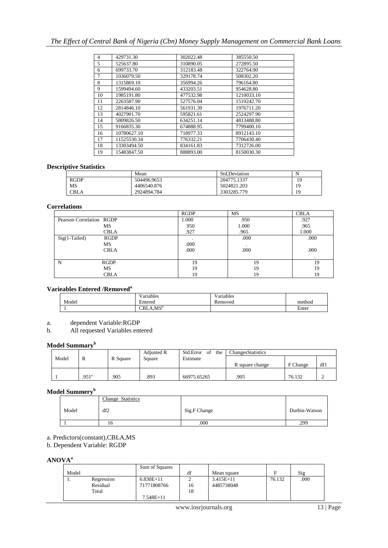# *The Effect of Central Bank of Nigeria (Cbn) Money Supply Management on Commercial Bank Loans*

| 4              | 429731.30   | 302022.48 | 385550.50  |
|----------------|-------------|-----------|------------|
| 5              | 525637.80   | 310890.05 | 272895.50  |
| 6              | 699733.70   | 312183.48 | 322764.90  |
| $\overline{7}$ | 1036079.50  | 329178.74 | 508302.20  |
| 8              | 1315869.10  | 356994.26 | 796164.80  |
| 9              | 1599494.60  | 433203.51 | 954628.80  |
| 10             | 1985191.80  | 477532.98 | 1210033.10 |
| 11             | 2263587.90  | 527576.04 | 1519242.70 |
| 12             | 2814846.10  | 561931.39 | 1976711.20 |
| 13             | 4027901.70  | 595821.61 | 2524297.90 |
| 14             | 5809826.50  | 634251.14 | 4813488.80 |
| 15             | 9166835.30  | 674888.95 | 7799400.10 |
| 16             | 10780627.10 | 718977.33 | 8912143.10 |
| 17             | 11525530.34 | 776332.21 | 7706430.40 |
| 18             | 13303494.50 | 834161.83 | 7312726.00 |
| 19             | 15483847.50 | 888893.00 | 8150030.30 |

## **Descriptive Statistics**

|             | Mean        | Std.Deviation | N  |
|-------------|-------------|---------------|----|
| <b>RGDP</b> | 504496.9653 | 204775.1337   | 19 |
| MS          | 4406540.876 | 5024821.203   | 19 |
| CBLA        | 2924894.784 | 3303285.779   | 10 |

## **Correlations**

|                          |             | <b>RGDP</b> | <b>MS</b> | <b>CBLA</b> |
|--------------------------|-------------|-------------|-----------|-------------|
| Pearson Correlation RGDP |             | 1.000       | .950      | .927        |
|                          | MS          | .950        | 1.000     | .965        |
|                          | <b>CBLA</b> | .927        | .965      | 1.000       |
| $Sig(1-Tailed)$          | RGDP        |             | .000      | .000        |
|                          | МS          | .000        | ٠         |             |
|                          | <b>CBLA</b> | .000        | .000      | .000        |
|                          |             |             |           | $\cdot$     |
| N                        | <b>RGDP</b> | 19          | 19        | 19          |
|                          | МS          | 19          | 19        | 19          |
|                          | <b>CBLA</b> | 19          | 19        | 19          |

# **Varieables Entered /Removed<sup>a</sup>**

|       | $\mathbf{v}$<br>V ariables<br>- | Variables<br>$\mathbf{v}$ |        |
|-------|---------------------------------|---------------------------|--------|
| Model | Entered                         | Removed                   | method |
|       | CBLA.MS <sup>b</sup>            |                           | Enter  |

a. dependent Variable:RGDP

b. All requested Variables entered

# **Model Summary<sup>b</sup>**

|       |                   |          | Adjusted R | Std.Error<br>the<br><sub>of</sub> | <b>ChangesStatistics</b> |          |     |
|-------|-------------------|----------|------------|-----------------------------------|--------------------------|----------|-----|
| Model | R                 | R Square | Square     | Estimate                          |                          |          |     |
|       |                   |          |            |                                   | R square change          | F Change | df1 |
|       |                   |          |            |                                   |                          |          |     |
|       | .951 <sup>a</sup> | .905     | .893       | 66975.65265                       | .905                     | 76.132   |     |

## **Model Summery<sup>b</sup>**

|       | Change Statistics |              |               |
|-------|-------------------|--------------|---------------|
| Model | df2               | Sig.F Change | Durbin-Watson |
|       | 16                | .000         | .299          |

a. Predictors(constant),CBLA,MS

b. Dependent Variable: RGDP

# **ANOVA<sup>a</sup>**

|       |            | Sum of Squares |    |             |        |      |
|-------|------------|----------------|----|-------------|--------|------|
| Model |            |                | df | Mean square | п      | Sig  |
| . .   | Regression | $6.830E+11$    |    | $3.415E+11$ | 76.132 | .000 |
|       | Residual   | 71771808766    | 16 | 4485738048  |        |      |
|       | Total      |                | 18 |             |        |      |
|       |            | $7.548E+11$    |    |             |        |      |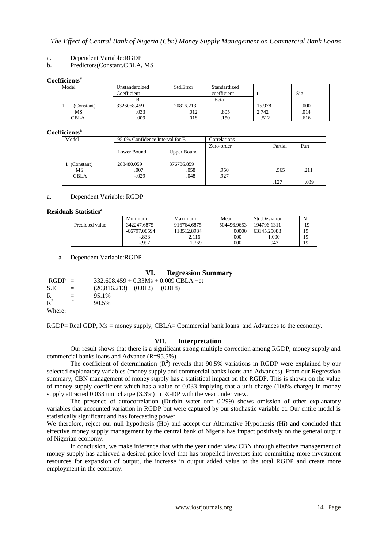## a. Dependent Variable:RGDP

#### b. Predictors(Constant,CBLA, MS

#### **Coefficients<sup>a</sup>**

| Model      | Unstandardized<br>Coefficient | Std.Error | Standardized<br>coefficient |        | Sig  |
|------------|-------------------------------|-----------|-----------------------------|--------|------|
|            |                               |           | Beta                        |        |      |
| (Constant) | 3326068.459                   | 20816.213 |                             | 15.978 | .000 |
| MS         | .033                          | .012      | 805                         | 2.742  | .014 |
| CBLA       | .009                          | .018      | .150                        | .512   | .616 |

## **Coefficients<sup>a</sup>**

| Model                           |                               | 95.0% Confidence Interval for B |              | Correlations |              |  |
|---------------------------------|-------------------------------|---------------------------------|--------------|--------------|--------------|--|
|                                 |                               |                                 | Zero-order   | Partial      | Part         |  |
|                                 | Lower Bound                   | Upper Bound                     |              |              |              |  |
| (Constant)<br>МS<br><b>CBLA</b> | 288480.059<br>.007<br>$-.029$ | 376736.859<br>.058<br>.048      | .950<br>.927 | .565<br>.127 | .211<br>.039 |  |

#### a. Dependent Variable: RGDP

#### **Residuals Statistics<sup>a</sup>**

|                 | Minimum        | Maximum     | Mean        | <b>Std.Deviation</b> |    |
|-----------------|----------------|-------------|-------------|----------------------|----|
| Predicted value | 342247.6875    | 916764.6875 | 504496.9653 | 194796.1311          | 19 |
|                 | $-66797.08594$ | 18512.8984  | .00000      | 63145.25088          | 19 |
|                 | $-.833$        | 2.116       | .000        | 1.000                | 19 |
|                 | -.997          | .769        | .000        | 943                  | 19 |

a. Dependent Variable:RGDP

### **VI. Regression Summary**

| $RGDP =$       |                           | $332,608.459 + 0.33Ms + 0.009 \text{ CBLA} + \text{et}$ |
|----------------|---------------------------|---------------------------------------------------------|
| S.E            | $\mathbf{r} = \mathbf{r}$ | $(20,816.213)$ $(0.012)$ $(0.018)$                      |
| R              | $=$                       | 95.1%                                                   |
| $\mathbf{R}^2$ |                           | 90.5%                                                   |
| Where:         |                           |                                                         |

RGDP= Real GDP, Ms = money supply, CBLA= Commercial bank loans and Advances to the economy.

#### **VII. Interpretation**

Our result shows that there is a significant strong multiple correction among RGDP, money supply and commercial banks loans and Advance (R=95.5%).

The coefficient of determination  $(R^2)$  reveals that 90.5% variations in RGDP were explained by our selected explanatory variables (money supply and commercial banks loans and Advances). From our Regression summary, CBN management of money supply has a statistical impact on the RGDP. This is shown on the value of money supply coefficient which has a value of 0.033 implying that a unit charge (100% charge) in money supply attracted 0.033 unit charge (3.3%) in RGDP with the year under view.

The presence of autocorrelation (Durbin water on= 0.299) shows omission of other explanatory variables that accounted variation in RGDP but were captured by our stochastic variable et. Our entire model is statistically significant and has forecasting power.

We therefore, reject our null hypothesis (Ho) and accept our Alternative Hypothesis (Hi) and concluded that effective money supply management by the central bank of Nigeria has impact positively on the general output of Nigerian economy.

In conclusion, we make inference that with the year under view CBN through effective management of money supply has achieved a desired price level that has propelled investors into committing more investment resources for expansion of output, the increase in output added value to the total RGDP and create more employment in the economy.